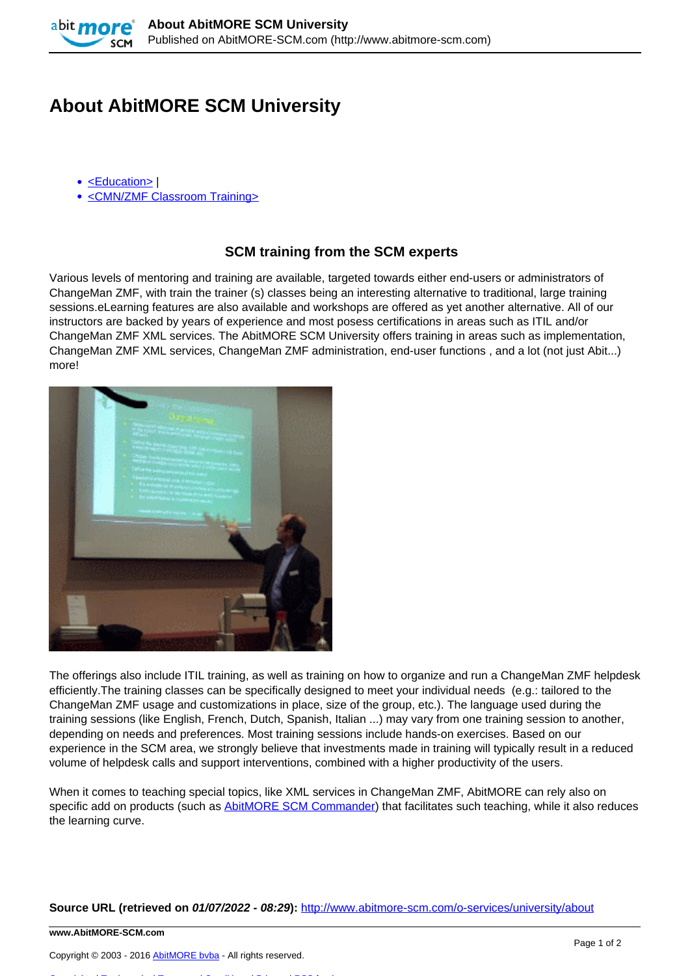

## **About AbitMORE SCM University**

- [<Education>](http://www.abitmore-scm.com/taxonomy/term/52) |
- [<CMN/ZMF Classroom Training>](http://www.abitmore-scm.com/taxonomy/term/57)

## **SCM training from the SCM experts**

Various levels of mentoring and training are available, targeted towards either end-users or administrators of ChangeMan ZMF, with train the trainer (s) classes being an interesting alternative to traditional, large training sessions.eLearning features are also available and workshops are offered as yet another alternative. All of our instructors are backed by years of experience and most posess certifications in areas such as ITIL and/or ChangeMan ZMF XML services. The AbitMORE SCM University offers training in areas such as implementation, ChangeMan ZMF XML services, ChangeMan ZMF administration, end-user functions , and a lot (not just Abit...) more!



The offerings also include ITIL training, as well as training on how to organize and run a ChangeMan ZMF helpdesk efficiently.The training classes can be specifically designed to meet your individual needs (e.g.: tailored to the ChangeMan ZMF usage and customizations in place, size of the group, etc.). The language used during the training sessions (like English, French, Dutch, Spanish, Italian ...) may vary from one training session to another, depending on needs and preferences. Most training sessions include hands-on exercises. Based on our experience in the SCM area, we strongly believe that investments made in training will typically result in a reduced volume of helpdesk calls and support interventions, combined with a higher productivity of the users.

When it comes to teaching special topics, like XML services in ChangeMan ZMF, AbitMORE can rely also on specific add on products (such as [AbitMORE SCM Commander\)](http://www.abitmore-scm.com/products/commander) that facilitates such teaching, while it also reduces the learning curve.

**Source URL (retrieved on 01/07/2022 - 08:29):** <http://www.abitmore-scm.com/o-services/university/about>

**www.AbitMORE-SCM.com**

Copyright © 2003 - 2016 [AbitMORE bvba](http://www.abitmore.be) - All rights reserved.